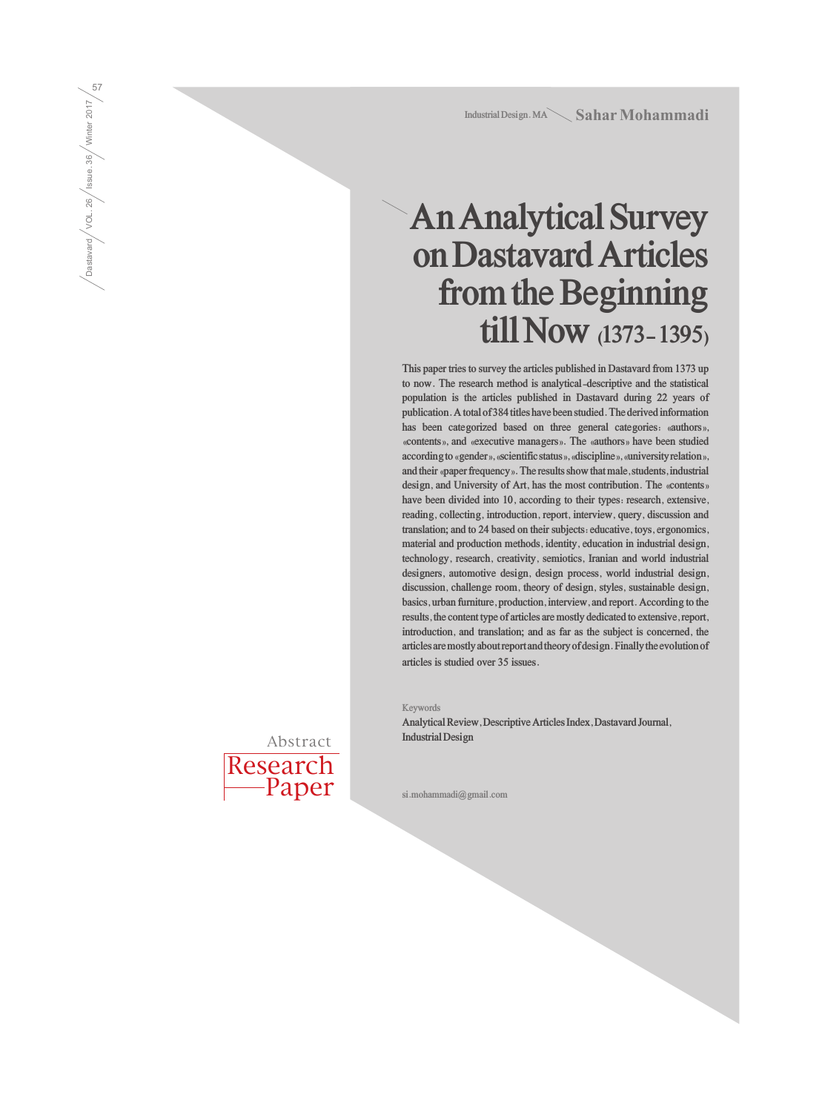**Industrial Design. MA** Sahar Mohammadi

# **An Analytical Survey on Dastavard Articles from the Beginning till Now (1373- 1395)**

**This paper tries to survey the articles published in Dastavard from 1373 up to now. The research method is analytical-descriptive and the statistical population is the articles published in Dastavard during 22 years of publication. A total of 384 titles have been studied. The derived information has been categorized based on three general categories: «authors», «contents», and «executive managers». The «authors» have been studied according to «gender», «scientific status», «discipline», «university relation», and their «paper frequency». The results show that male, students, industrial design, and University of Art, has the most contribution. The «contents» have been divided into 10, according to their types: research, extensive, reading, collecting, introduction, report, interview, query, discussion and translation; and to 24 based on their subjects: educative, toys, ergonomics, material and production methods, identity, education in industrial design, technology, research, creativity, semiotics, Iranian and world industrial designers, automotive design, design process, world industrial design, discussion, challenge room, theory of design, styles, sustainable design, basics, urban furniture, production, interview, and report. According to the results, the content type of articles are mostly dedicated to extensive, report, introduction, and translation; and as far as the subject is concerned, the articles are mostly about report and theory of design. Finally the evolution of articles is studied over 35 issues.**

**Keywords**

**Analytical Review, Descriptive Articles Index, Dastavard Journal, Industrial Design**

**si.mohammadi@gmail.com**

Research -Paper Abstract

Dastavard / VOL. 26 / Issue. 36 / Winter 2017 Dastavard  $\sqrt{10L \cdot 26}$  / Issue. 36  $\sqrt{36L \cdot 2017}$  /  $\frac{50}{21}$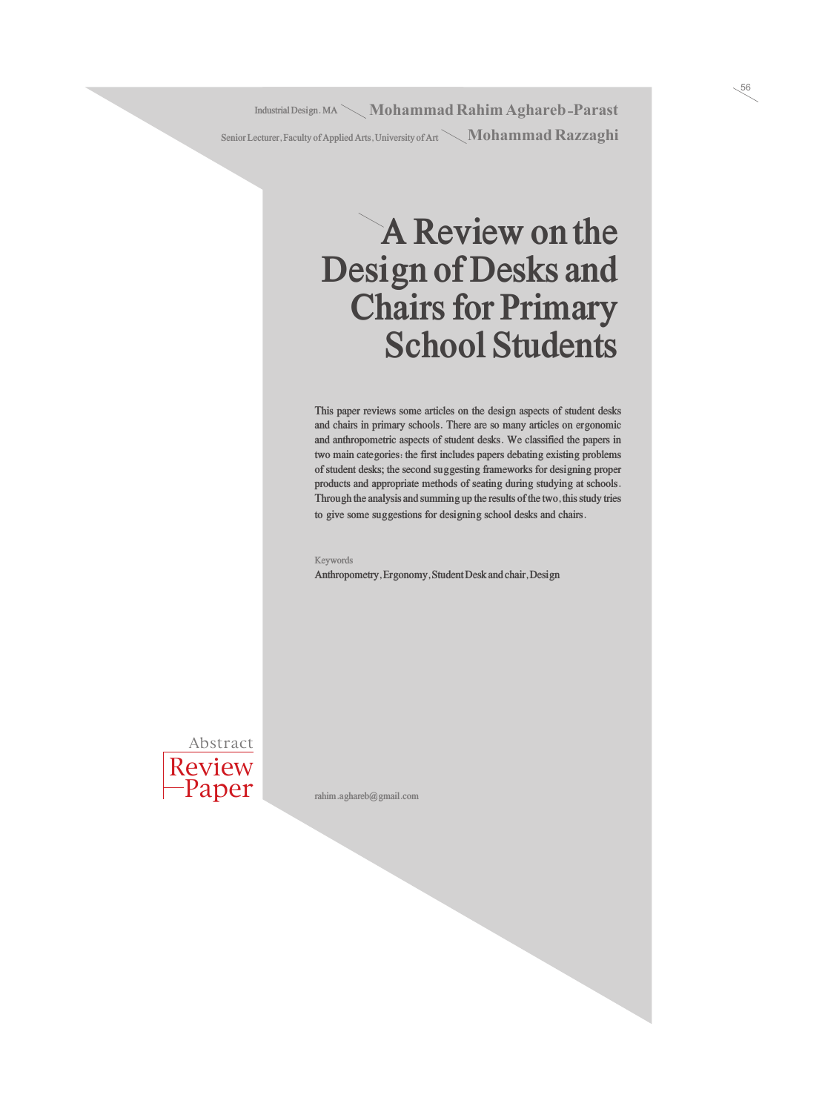Industrial Design. MA $\searrow$  **Mohammad Rahim Aghareb -Parast** Senior Lecturer, Faculty of Applied Arts, University of Art **Nohammad Razzaghi** 

## **A Review on the Design of Desks and Chairs for Primary School Students**

**This paper reviews some articles on the design aspects of student desks and chairs in primary schools. There are so many articles on ergonomic and anthropometric aspects of student desks. We classified the papers in two main categories: the first includes papers debating existing problems of student desks; the second suggesting frameworks for designing proper products and appropriate methods of seating during studying at schools. Through the analysis and summing up the results of the two, this study tries to give some suggestions for designing school desks and chairs.**

**Keywords**

**Anthropometry, Ergonomy, Student Desk and chair, Design**



**rahim.aghareb@gmail.com**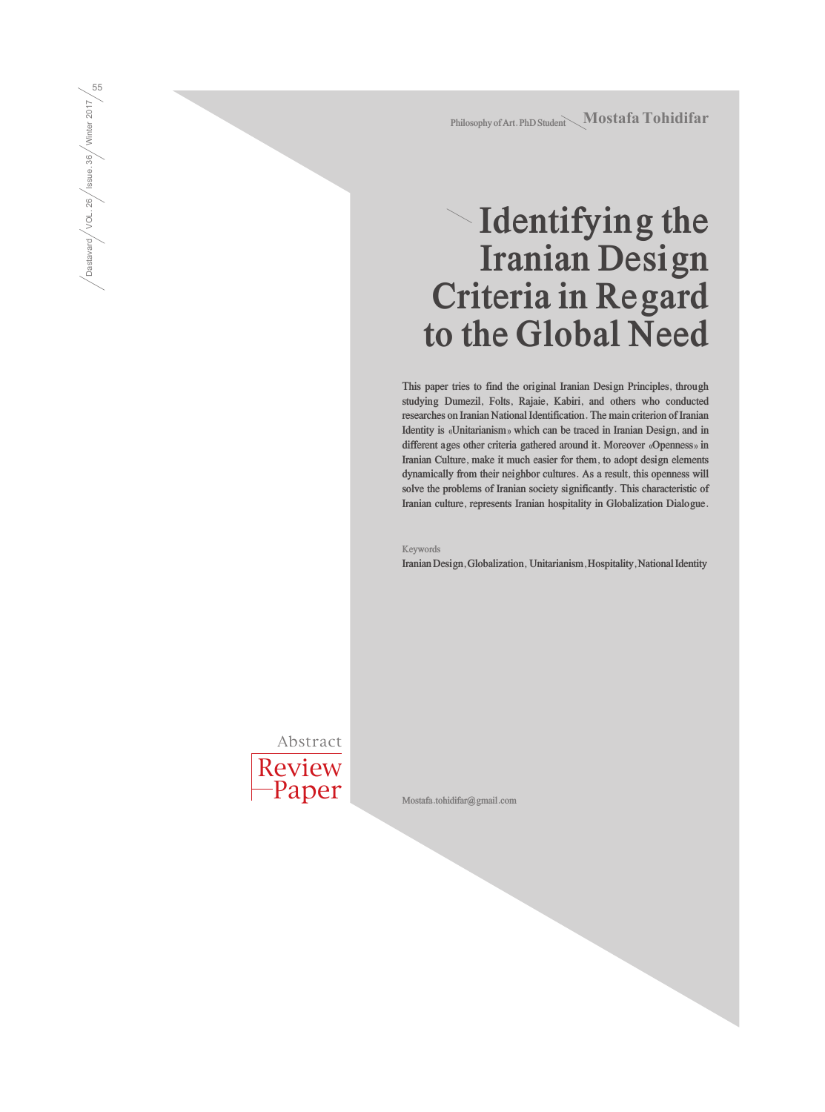Philosophy of Art. PhD Student Mostafa Tohidifar

# **Identifying the Iranian Design Criteria in Regard to the Global Need**

**This paper tries to find the original Iranian Design Principles, through studying Dumezil, Folts, Rajaie, Kabiri, and others who conducted researches on Iranian National Identification. The main criterion of Iranian Identity is «Unitarianism» which can be traced in Iranian Design, and in different ages other criteria gathered around it. Moreover «Openness» in Iranian Culture, make it much easier for them, to adopt design elements dynamically from their neighbor cultures. As a result, this openness will solve the problems of Iranian society significantly. This characteristic of Iranian culture, represents Iranian hospitality in Globalization Dialogue.**

**Keywords**

**Iranian Design, Globalization, Unitarianism, Hospitality, National Identity**



Dastavard / VOL. 26 / Issue. 36 / Winter 2017  $\sqrt{\frac{5555660 \text{ rad}}{1004 \text{ rad}}}/\frac{\text{VOL. 26}}{\text{S}}/\frac{\text{Ninter 2017}}{\text{Winter 2017}}$ 

**Mostafa.tohidifar@gmail.com**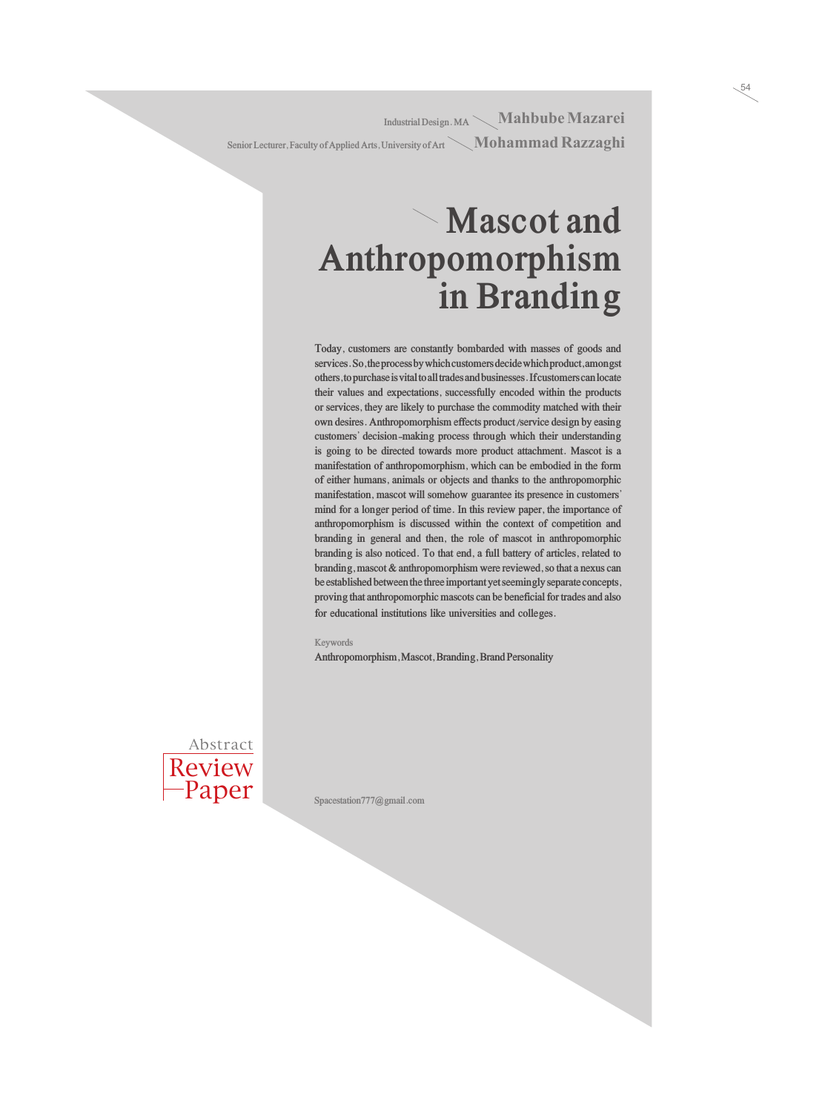**Industrial Design. MA** Mahbube Mazarei Senior Lecturer, Faculty of Applied Arts, University of Art **Mohammad Razzaghi** 

#### **Mascot and Anthropomorphism in Branding**

**Today, customers are constantly bombarded with masses of goods and services. So, the process by which customers decide which product, amongst others, to purchase is vital to all trades and businesses. If customers can locate their values and expectations, successfully encoded within the products or services, they are likely to purchase the commodity matched with their own desires. Anthropomorphism effects product/service design by easing customers' decision-making process through which their understanding is going to be directed towards more product attachment. Mascot is a manifestation of anthropomorphism, which can be embodied in the form of either humans, animals or objects and thanks to the anthropomorphic manifestation, mascot will somehow guarantee its presence in customers' mind for a longer period of time. In this review paper, the importance of anthropomorphism is discussed within the context of competition and branding in general and then, the role of mascot in anthropomorphic branding is also noticed. To that end, a full battery of articles, related to branding, mascot & anthropomorphism were reviewed, so that a nexus can be established between the three important yet seemingly separate concepts, proving that anthropomorphic mascots can be beneficial for trades and also for educational institutions like universities and colleges.**

**Keywords**

**Anthropomorphism, Mascot, Branding, Brand Personality**



**Spacestation777@gmail.com**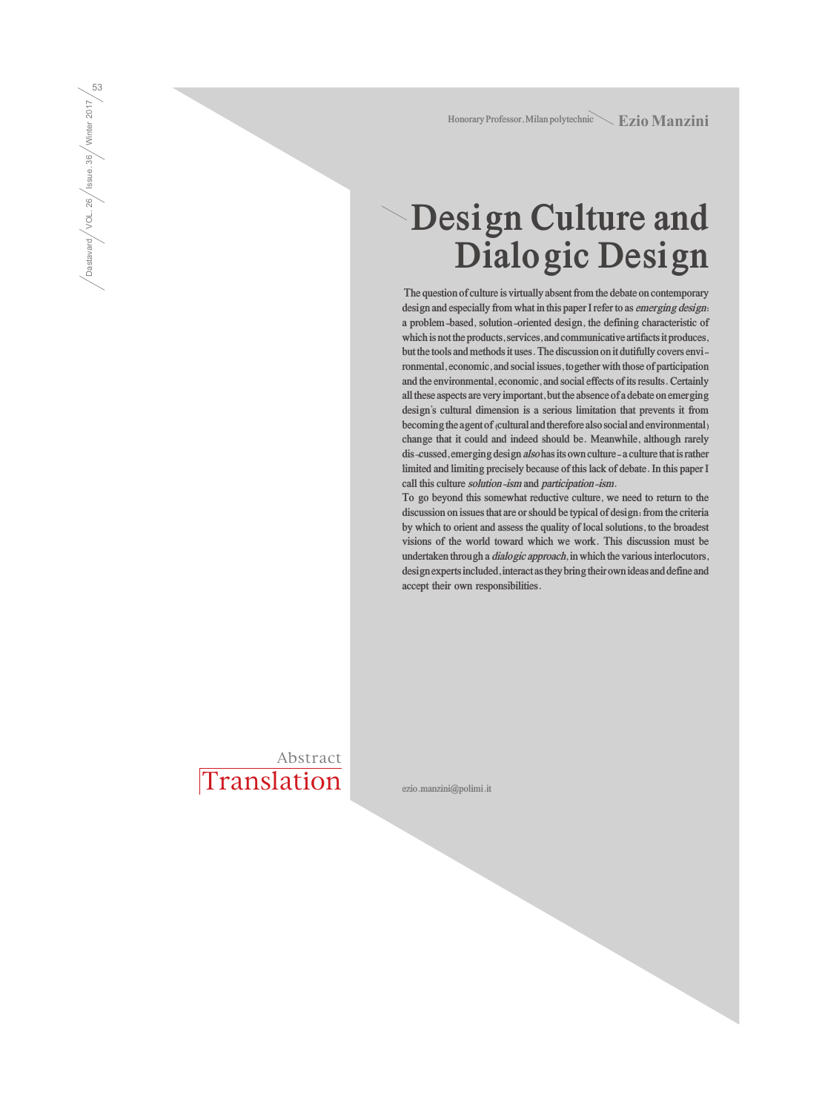Honorary Professor, Milan polytechnic **Ezio Manzini** 

### **Design Culture and Dialogic Design**

 **The question of culture is virtually absent from the debate on contemporary design and especially from what in this paper I refer to as emerging design: a problem-based, solution-oriented design, the defining characteristic of which is not the products, services, and communicative artifacts it produces, but the tools and methods it uses. The discussion on it dutifully covers environmental, economic, and social issues, together with those of participation and the environmental, economic, and social effects of its results. Certainly all these aspects are very important, but the absence of a debate on emerging design's cultural dimension is a serious limitation that prevents it from becoming the agent of (cultural and therefore also social and environmental) change that it could and indeed should be. Meanwhile, although rarely dis¬cussed, emerging design also has its own culture- a culture that is rather limited and limiting precisely because of this lack of debate. In this paper I call this culture solution-ism and participation-ism.** 

**To go beyond this somewhat reductive culture, we need to return to the discussion on issues that are or should be typical of design: from the criteria by which to orient and assess the quality of local solutions, to the broadest visions of the world toward which we work. This discussion must be undertaken through a dialogic approach, in which the various interlocutors, design experts included, interact as they bring their own ideas and define and accept their own responsibilities.**

Translation Abstract

Dastavard / VOL. 26 / Issue. 36 / Winter 2017  $\frac{1}{\sqrt{\frac{3334848}{100}}}\sqrt{\frac{100}{26}}$  / Ssue .36  $\frac{1}{\sqrt{\frac{1000}{20}}}}$   $\frac{2017}{25}$ 

**ezio.manzini@polimi.it**